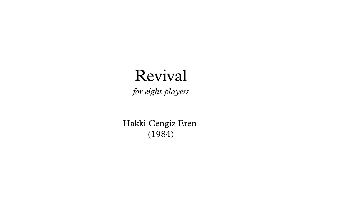# Revival

*for eight players*

Hakki Cengiz Eren (1984)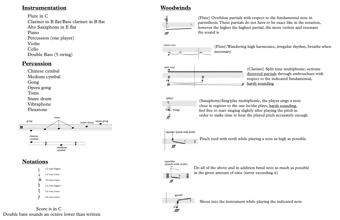(Clarinet) Split tone multiphonic, activate distorted partials through embouchure with respect to the indicated fundamental, harsh sounding

Do all of the above and in addition bend note as much as possible in the given amount of time (never exceeding it)



(Flute)Wandering high harmonics, irregular rhythm, breathe when





 $\bar{\tilde{p}}p$ 

## **Woodwinds**



(Saxaphone)Sing/play multiphonic, the player sings a note close in register to the one he/she plays, harsh sounding, feel free to start singing slightly after playing the pitch in order to make time to hear the played pitch accurately enough



(Flute) Overblow partials with respect to the fundamental note in parenthesis.These partials do not have to be exact like in the notation, however the higher the highest partial, the more violent and resonant the sound is

Shout into the instrument while playing the indicated note

Pinch reed with teeth while playing a note as high as possible



Flute in C Clarinet in B flat/Bass clarinet in B flat Alto Saxaphone in E flat Piano Percussion (one player) Violin Cello Double Bass (5 string)



Score is in C Double bass sounds an octave lower than written

## **Notations**

#### **Percussion**

Chinese cymbal Medium cymbal Gong Opera gong Toms Snare drum Vibraphone Flexatone



#### **Instrumentation**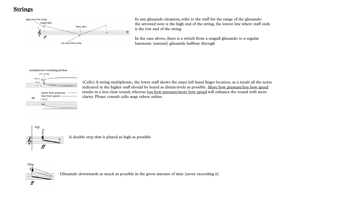



In any glissando situation, refer to the staff for the range of the glissando: the arrowed note is the high end of the string, the lowest line where staff ends is the low end of the string

In the case above, there is a switch from a seagull glissando to a regular harmonic (natural) glissando halfway through

#### multiphonic sounding pitches





(Cello) A string multiphonic, the lower staff shows the exact left hand finger location, as a result all the notes indicated in the higher staff should be heard as distinctively as possible. More bow pressure/less bow speed results in a less clear sound, whereas less bow pressure/more bow speed will enhance the sound with more clarity. Please consult cello map videos online.

Glissando downwards as much as possible in the given amount of time (never exceeding it)

## **Strings**

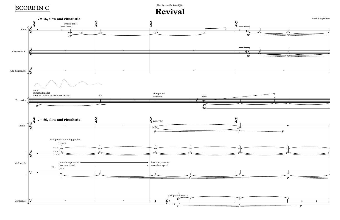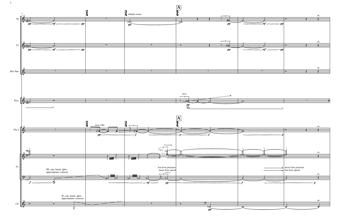

 $\overline{c}$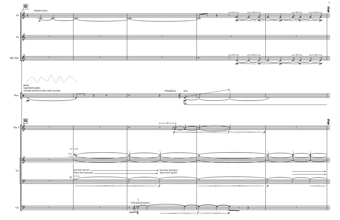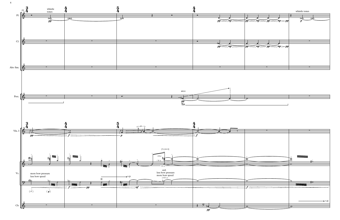

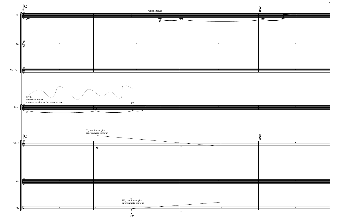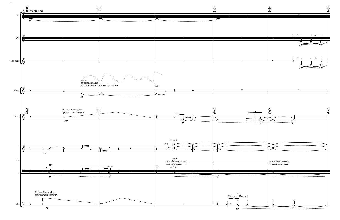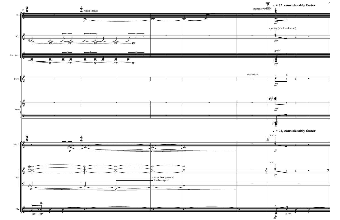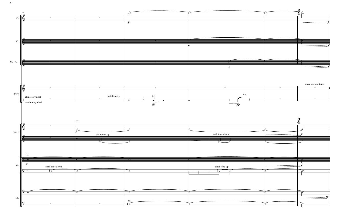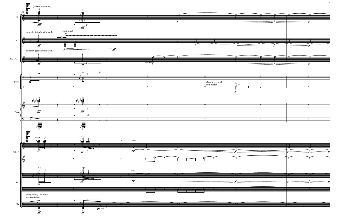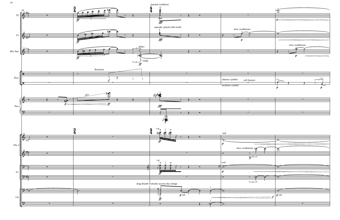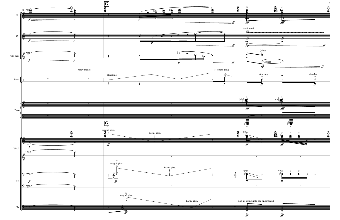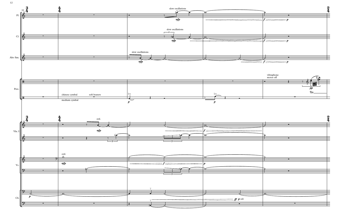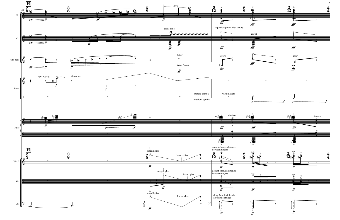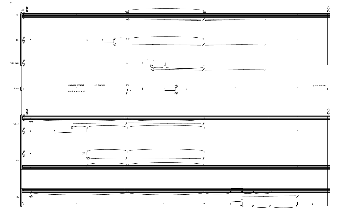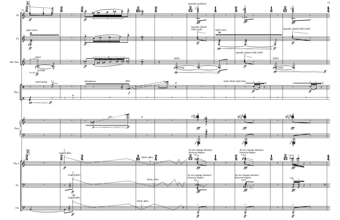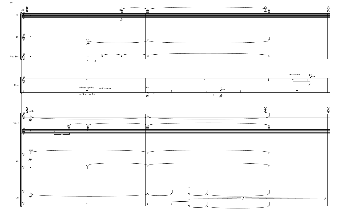





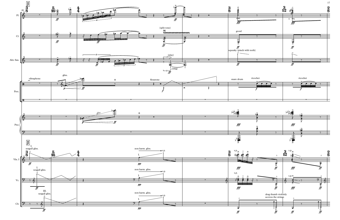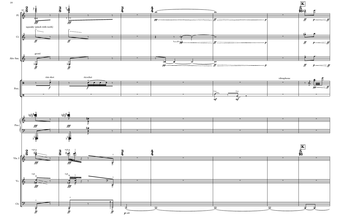

 $\boldsymbol{p}$  sub.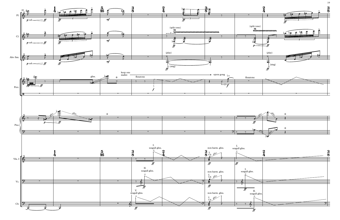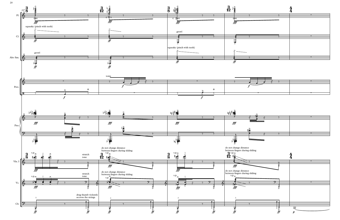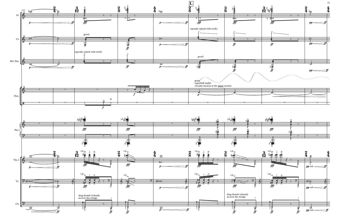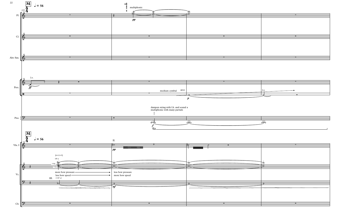

| ▬ |
|---|
|   |
|   |
|   |
|   |
|   |
|   |
|   |
|   |
|   |
|   |
|   |
|   |
|   |
|   |
|   |
|   |
|   |
|   |
|   |
|   |
|   |
|   |
|   |
|   |
|   |
|   |
|   |
|   |
|   |
| ┳ |
|   |
|   |
|   |
|   |
|   |
|   |
|   |
|   |
|   |
|   |
|   |
|   |
|   |
|   |
|   |
|   |
|   |
|   |
|   |
|   |
|   |
|   |
|   |
|   |
|   |
|   |
|   |
|   |
|   |
| - |
|   |
|   |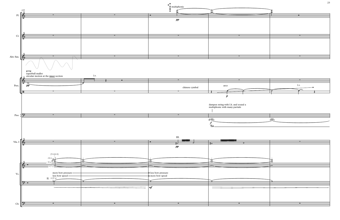